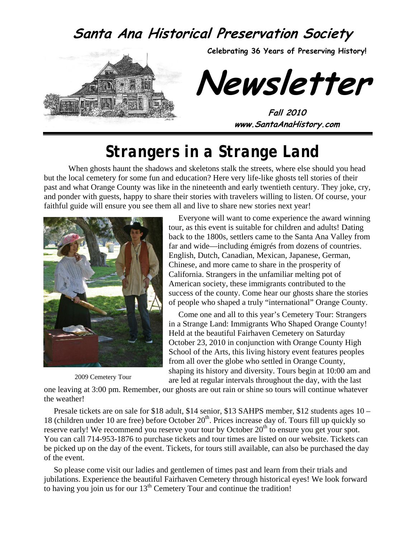### **Santa Ana Historical Preservation Society**



# *Strangers in a Strange Land*

When ghosts haunt the shadows and skeletons stalk the streets, where else should you head but the local cemetery for some fun and education? Here very life-like ghosts tell stories of their past and what Orange County was like in the nineteenth and early twentieth century. They joke, cry, and ponder with guests, happy to share their stories with travelers willing to listen. Of course, your faithful guide will ensure you see them all and live to share new stories next year!



2009 Cemetery Tour

Everyone will want to come experience the award winning tour, as this event is suitable for children and adults! Dating back to the 1800s, settlers came to the Santa Ana Valley from far and wide—including émigrés from dozens of countries. English, Dutch, Canadian, Mexican, Japanese, German, Chinese, and more came to share in the prosperity of California. Strangers in the unfamiliar melting pot of American society, these immigrants contributed to the success of the county. Come hear our ghosts share the stories of people who shaped a truly "international" Orange County.

Come one and all to this year's Cemetery Tour: Strangers in a Strange Land: Immigrants Who Shaped Orange County! Held at the beautiful Fairhaven Cemetery on Saturday October 23, 2010 in conjunction with Orange County High School of the Arts, this living history event features peoples from all over the globe who settled in Orange County, shaping its history and diversity. Tours begin at 10:00 am and are led at regular intervals throughout the day, with the last

one leaving at 3:00 pm. Remember, our ghosts are out rain or shine so tours will continue whatever the weather!

Presale tickets are on sale for \$18 adult, \$14 senior, \$13 SAHPS member, \$12 students ages 10 – 18 (children under 10 are free) before October  $20<sup>th</sup>$ . Prices increase day of. Tours fill up quickly so reserve early! We recommend you reserve your tour by October  $20<sup>th</sup>$  to ensure you get your spot. You can call 714-953-1876 to purchase tickets and tour times are listed on our website. Tickets can be picked up on the day of the event. Tickets, for tours still available, can also be purchased the day of the event.

So please come visit our ladies and gentlemen of times past and learn from their trials and jubilations. Experience the beautiful Fairhaven Cemetery through historical eyes! We look forward to having you join us for our  $13<sup>th</sup>$  Cemetery Tour and continue the tradition!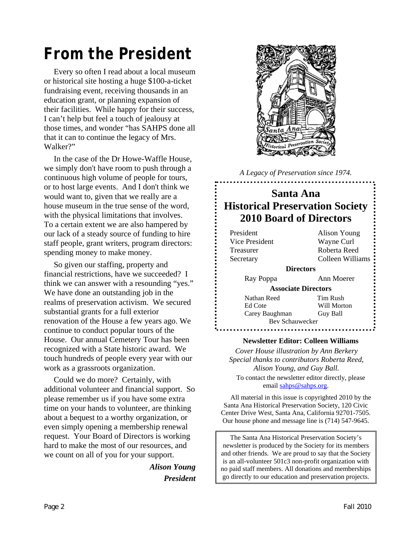# *From the President*

Every so often I read about a local museum or historical site hosting a huge \$100-a-ticket fundraising event, receiving thousands in an education grant, or planning expansion of their facilities. While happy for their success, I can't help but feel a touch of jealousy at those times, and wonder "has SAHPS done all that it can to continue the legacy of Mrs. Walker?"

In the case of the Dr Howe-Waffle House, we simply don't have room to push through a continuous high volume of people for tours, or to host large events. And I don't think we would want to, given that we really are a house museum in the true sense of the word, with the physical limitations that involves. To a certain extent we are also hampered by our lack of a steady source of funding to hire staff people, grant writers, program directors: spending money to make money.

So given our staffing, property and financial restrictions, have we succeeded? I think we can answer with a resounding "yes." We have done an outstanding job in the realms of preservation activism. We secured substantial grants for a full exterior renovation of the House a few years ago. We continue to conduct popular tours of the House. Our annual Cemetery Tour has been recognized with a State historic award. We touch hundreds of people every year with our work as a grassroots organization.

Could we do more? Certainly, with additional volunteer and financial support. So please remember us if you have some extra time on your hands to volunteer, are thinking about a bequest to a worthy organization, or even simply opening a membership renewal request. Your Board of Directors is working hard to make the most of our resources, and we count on all of you for your support.

> *Alison Young President*



*A Legacy of Preservation since 1974.* 

#### **Santa Ana Historical Preservation Society 2010 Board of Directors**

| President                  | Alison Young     |  |
|----------------------------|------------------|--|
| Vice President             | Wayne Curl       |  |
| Treasurer                  | Roberta Reed     |  |
| Secretary                  | Colleen Williams |  |
| <b>Directors</b>           |                  |  |
| Ray Poppa                  | Ann Moerer       |  |
| <b>Associate Directors</b> |                  |  |
| Nathan Reed                | Tim Rush         |  |
| Ed Cote                    | Will Morton      |  |
| Carey Baughman             | Guy Ball         |  |
| Bev Schauwecker            |                  |  |
|                            |                  |  |

#### **Newsletter Editor: Colleen Williams**

*Cover House illustration by Ann Berkery Special thanks to contributors Roberta Reed, Alison Young, and Guy Ball.*  To contact the newsletter editor directly, please email [sahps@sahps.org](mailto:sahps@sahps.org).

All material in this issue is copyrighted 2010 by the Santa Ana Historical Preservation Society, 120 Civic Center Drive West, Santa Ana, California 92701-7505. Our house phone and message line is (714) 547-9645.

The Santa Ana Historical Preservation Society's newsletter is produced by the Society for its members and other friends. We are proud to say that the Society is an all-volunteer 501c3 non-profit organization with no paid staff members. All donations and memberships go directly to our education and preservation projects.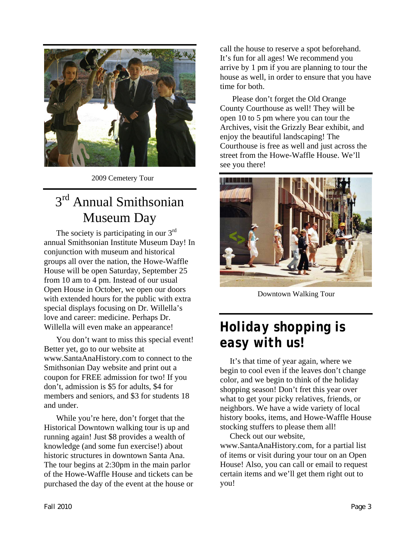

2009 Cemetery Tour

# 3<sup>rd</sup> Annual Smithsonian Museum Day

The society is participating in our 3<sup>rd</sup> annual Smithsonian Institute Museum Day! In conjunction with museum and historical groups all over the nation, the Howe-Waffle House will be open Saturday, September 25 from 10 am to 4 pm. Instead of our usual Open House in October, we open our doors with extended hours for the public with extra special displays focusing on Dr. Willella's love and career: medicine. Perhaps Dr. Willella will even make an appearance!

You don't want to miss this special event! Better yet, go to our website at www.SantaAnaHistory.com to connect to the Smithsonian Day website and print out a coupon for FREE admission for two! If you don't, admission is \$5 for adults, \$4 for members and seniors, and \$3 for students 18 and under.

While you're here, don't forget that the Historical Downtown walking tour is up and running again! Just \$8 provides a wealth of knowledge (and some fun exercise!) about historic structures in downtown Santa Ana. The tour begins at 2:30pm in the main parlor of the Howe-Waffle House and tickets can be purchased the day of the event at the house or call the house to reserve a spot beforehand. It's fun for all ages! We recommend you arrive by 1 pm if you are planning to tour the house as well, in order to ensure that you have time for both.

Please don't forget the Old Orange County Courthouse as well! They will be open 10 to 5 pm where you can tour the Archives, visit the Grizzly Bear exhibit, and enjoy the beautiful landscaping! The Courthouse is free as well and just across the street from the Howe-Waffle House. We'll see you there!



Downtown Walking Tour

# *Holiday shopping is easy with us!*

It's that time of year again, where we begin to cool even if the leaves don't change color, and we begin to think of the holiday shopping season! Don't fret this year over what to get your picky relatives, friends, or neighbors. We have a wide variety of local history books, items, and Howe-Waffle House stocking stuffers to please them all!

Check out our website, www.SantaAnaHistory.com, for a partial list of items or visit during your tour on an Open House! Also, you can call or email to request certain items and we'll get them right out to you!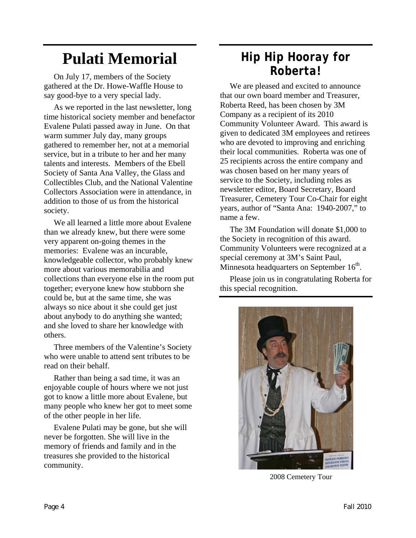# **Pulati Memorial**

On July 17, members of the Society gathered at the Dr. Howe-Waffle House to say good-bye to a very special lady.

As we reported in the last newsletter, long time historical society member and benefactor Evalene Pulati passed away in June. On that warm summer July day, many groups gathered to remember her, not at a memorial service, but in a tribute to her and her many talents and interests. Members of the Ebell Society of Santa Ana Valley, the Glass and Collectibles Club, and the National Valentine Collectors Association were in attendance, in addition to those of us from the historical society.

We all learned a little more about Evalene than we already knew, but there were some very apparent on-going themes in the memories: Evalene was an incurable, knowledgeable collector, who probably knew more about various memorabilia and collections than everyone else in the room put together; everyone knew how stubborn she could be, but at the same time, she was always so nice about it she could get just about anybody to do anything she wanted; and she loved to share her knowledge with others.

Three members of the Valentine's Society who were unable to attend sent tributes to be read on their behalf.

Rather than being a sad time, it was an enjoyable couple of hours where we not just got to know a little more about Evalene, but many people who knew her got to meet some of the other people in her life.

Evalene Pulati may be gone, but she will never be forgotten. She will live in the memory of friends and family and in the treasures she provided to the historical community.

### *Hip Hip Hooray for Roberta!*

We are pleased and excited to announce that our own board member and Treasurer, Roberta Reed, has been chosen by 3M Company as a recipient of its 2010 Community Volunteer Award. This award is given to dedicated 3M employees and retirees who are devoted to improving and enriching their local communities. Roberta was one of 25 recipients across the entire company and was chosen based on her many years of service to the Society, including roles as newsletter editor, Board Secretary, Board Treasurer, Cemetery Tour Co-Chair for eight years, author of "Santa Ana: 1940-2007," to name a few.

The 3M Foundation will donate \$1,000 to the Society in recognition of this award. Community Volunteers were recognized at a special ceremony at 3M's Saint Paul, Minnesota headquarters on September  $16<sup>th</sup>$ .

Please join us in congratulating Roberta for this special recognition.



2008 Cemetery Tour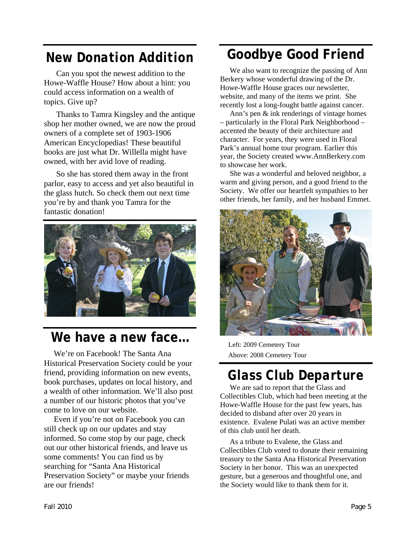# *New Donation Addition*

Can you spot the newest addition to the Howe-Waffle House? How about a hint: you could access information on a wealth of topics. Give up?

Thanks to Tamra Kingsley and the antique shop her mother owned, we are now the proud owners of a complete set of 1903-1906 American Encyclopedias! These beautiful books are just what Dr. Willella might have owned, with her avid love of reading.

So she has stored them away in the front parlor, easy to access and yet also beautiful in the glass hutch. So check them out next time you're by and thank you Tamra for the fantastic donation!



#### **We have a new face…**

We're on Facebook! The Santa Ana Historical Preservation Society could be your friend, providing information on new events, book purchases, updates on local history, and a wealth of other information. We'll also post a number of our historic photos that you've come to love on our website.

Even if you're not on Facebook you can still check up on our updates and stay informed. So come stop by our page, check out our other historical friends, and leave us some comments! You can find us by searching for "Santa Ana Historical Preservation Society" or maybe your friends are our friends!

# **Goodbye Good Friend**

We also want to recognize the passing of Ann Berkery whose wonderful drawing of the Dr. Howe-Waffle House graces our newsletter, website, and many of the items we print. She recently lost a long-fought battle against cancer.

Ann's pen & ink renderings of vintage homes – particularly in the Floral Park Neighborhood – accented the beauty of their architecture and character. For years, they were used in Floral Park's annual home tour program. Earlier this year, the Society created www.AnnBerkery.com to showcase her work.

She was a wonderful and beloved neighbor, a warm and giving person, and a good friend to the Society. We offer our heartfelt sympathies to her other friends, her family, and her husband Emmet.



Left: 2009 Cemetery Tour Above: 2008 Cemetery Tour

# *Glass Club Departure*

We are sad to report that the Glass and Collectibles Club, which had been meeting at the Howe-Waffle House for the past few years, has decided to disband after over 20 years in existence. Evalene Pulati was an active member of this club until her death.

As a tribute to Evalene, the Glass and Collectibles Club voted to donate their remaining treasury to the Santa Ana Historical Preservation Society in her honor. This was an unexpected gesture, but a generous and thoughtful one, and the Society would like to thank them for it.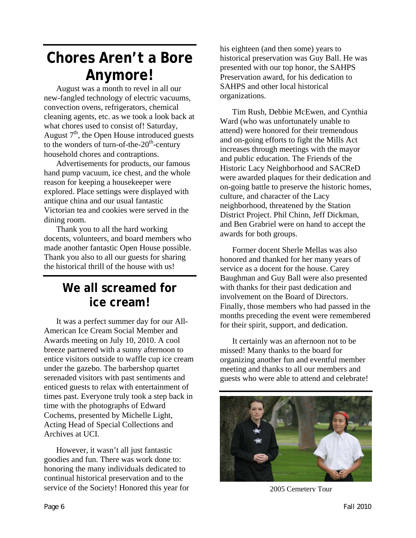# **Chores Aren't a Bore Anymore!**

August was a month to revel in all our new-fangled technology of electric vacuums, convection ovens, refrigerators, chemical cleaning agents, etc. as we took a look back at what chores used to consist of! Saturday, August  $7<sup>th</sup>$ , the Open House introduced guests to the wonders of turn-of-the- $20<sup>th</sup>$ -century household chores and contraptions.

Advertisements for products, our famous hand pump vacuum, ice chest, and the whole reason for keeping a housekeeper were explored. Place settings were displayed with antique china and our usual fantastic Victorian tea and cookies were served in the dining room.

Thank you to all the hard working docents, volunteers, and board members who made another fantastic Open House possible. Thank you also to all our guests for sharing the historical thrill of the house with us!

#### **We all screamed for ice cream!**

It was a perfect summer day for our All-American Ice Cream Social Member and Awards meeting on July 10, 2010. A cool breeze partnered with a sunny afternoon to entice visitors outside to waffle cup ice cream under the gazebo. The barbershop quartet serenaded visitors with past sentiments and enticed guests to relax with entertainment of times past. Everyone truly took a step back in time with the photographs of Edward Cochems, presented by Michelle Light, Acting Head of Special Collections and Archives at UCI.

However, it wasn't all just fantastic goodies and fun. There was work done to: honoring the many individuals dedicated to continual historical preservation and to the service of the Society! Honored this year for his eighteen (and then some) years to historical preservation was Guy Ball. He was presented with our top honor, the SAHPS Preservation award, for his dedication to SAHPS and other local historical organizations.

Tim Rush, Debbie McEwen, and Cynthia Ward (who was unfortunately unable to attend) were honored for their tremendous and on-going efforts to fight the Mills Act increases through meetings with the mayor and public education. The Friends of the Historic Lacy Neighborhood and SACReD were awarded plaques for their dedication and on-going battle to preserve the historic homes, culture, and character of the Lacy neighborhood, threatened by the Station District Project. Phil Chinn, Jeff Dickman, and Ben Grabriel were on hand to accept the awards for both groups.

Former docent Sherle Mellas was also honored and thanked for her many years of service as a docent for the house. Carey Baughman and Guy Ball were also presented with thanks for their past dedication and involvement on the Board of Directors. Finally, those members who had passed in the months preceding the event were remembered for their spirit, support, and dedication.

It certainly was an afternoon not to be missed! Many thanks to the board for organizing another fun and eventful member meeting and thanks to all our members and guests who were able to attend and celebrate!



2005 Cemetery Tour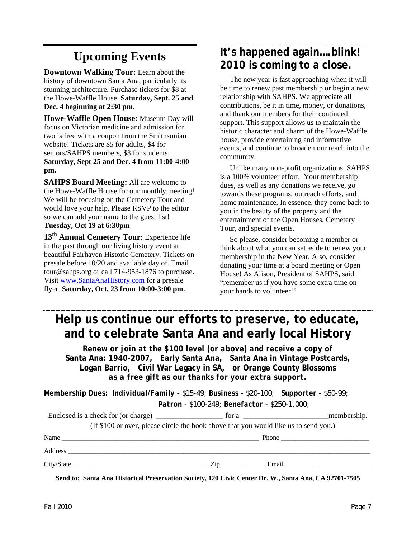## **Upcoming Events**

**Downtown Walking Tour:** Learn about the history of downtown Santa Ana, particularly its stunning architecture. Purchase tickets for \$8 at the Howe-Waffle House. **Saturday, Sept. 25 and Dec. 4 beginning at 2:30 pm**.

**Howe-Waffle Open House:** Museum Day will focus on Victorian medicine and admission for two is free with a coupon from the Smithsonian website! Tickets are \$5 for adults, \$4 for seniors/SAHPS members, \$3 for students. **Saturday, Sept 25 and Dec. 4 from 11:00-4:00 pm.** 

**SAHPS Board Meeting:** All are welcome to the Howe-Waffle House for our monthly meeting! We will be focusing on the Cemetery Tour and would love your help. Please RSVP to the editor so we can add your name to the guest list! **Tuesday, Oct 19 at 6:30pm**

**13th Annual Cemetery Tour:** Experience life in the past through our living history event at beautiful Fairhaven Historic Cemetery. Tickets on presale before 10/20 and available day of. Email tour@sahps.org or call 714-953-1876 to purchase. Visit [www.SantaAnaHistory.com](http://www.santaanahistory.com/) for a presale flyer. **Saturday, Oct. 23 from 10:00-3:00 pm.** 

#### **It's happened again….blink! 2010 is coming to a close.**

The new year is fast approaching when it will be time to renew past membership or begin a new relationship with SAHPS. We appreciate all contributions, be it in time, money, or donations, and thank our members for their continued support. This support allows us to maintain the historic character and charm of the Howe-Waffle house, provide entertaining and informative events, and continue to broaden our reach into the community.

Unlike many non-profit organizations, SAHPS is a 100% volunteer effort. Your membership dues, as well as any donations we receive, go towards these programs, outreach efforts, and home maintenance. In essence, they come back to you in the beauty of the property and the entertainment of the Open Houses, Cemetery Tour, and special events.

So please, consider becoming a member or think about what you can set aside to renew your membership in the New Year. Also, consider donating your time at a board meeting or Open House! As Alison, President of SAHPS, said "remember us if you have some extra time on your hands to volunteer!"

## **Help us continue our efforts to preserve, to educate, and to celebrate Santa Ana and early local History**

*Renew or join at the \$100 level (or above) and receive a copy of*  **Santa Ana: 1940-2007***,* **Early Santa Ana, Santa Ana in Vintage Postcards, Logan Barrio, Civil War Legacy in SA,** *or* **Orange County Blossoms** *as a free gift as our thanks for your extra support.* 

**Membership Dues:** *Individual/Family - \$15-49; Business - \$20-100; Supporter - \$50-99; Patron - \$100-249; Benefactor - \$250-1,000;* 

|                                                                                      | for a $\frac{1}{\sqrt{1-\frac{1}{2}}}\left\{ \frac{1}{2}, \frac{1}{2}, \frac{1}{2}, \frac{1}{2}, \frac{1}{2}, \frac{1}{2}, \frac{1}{2}, \frac{1}{2}, \frac{1}{2}, \frac{1}{2}, \frac{1}{2}, \frac{1}{2}, \frac{1}{2}, \frac{1}{2}, \frac{1}{2}, \frac{1}{2}, \frac{1}{2}, \frac{1}{2}, \frac{1}{2}, \frac{1}{2}, \frac{1}{2}, \frac{1}{2}, \frac{1}{2}, \frac{1}{2}, \frac{1}{2}, \frac{1}{2}, \frac{1}{2}, \frac{1}{$ | membership.                                                                                                                                                                                                                                                                                                                                                                                                   |  |  |
|--------------------------------------------------------------------------------------|------------------------------------------------------------------------------------------------------------------------------------------------------------------------------------------------------------------------------------------------------------------------------------------------------------------------------------------------------------------------------------------------------------------------|---------------------------------------------------------------------------------------------------------------------------------------------------------------------------------------------------------------------------------------------------------------------------------------------------------------------------------------------------------------------------------------------------------------|--|--|
| (If \$100 or over, please circle the book above that you would like us to send you.) |                                                                                                                                                                                                                                                                                                                                                                                                                        |                                                                                                                                                                                                                                                                                                                                                                                                               |  |  |
| Name                                                                                 |                                                                                                                                                                                                                                                                                                                                                                                                                        | Phone $\frac{1}{\sqrt{1-\frac{1}{2}}\sqrt{1-\frac{1}{2}}\sqrt{1-\frac{1}{2}}\sqrt{1-\frac{1}{2}}\sqrt{1-\frac{1}{2}}\sqrt{1-\frac{1}{2}}\sqrt{1-\frac{1}{2}}\sqrt{1-\frac{1}{2}}\sqrt{1-\frac{1}{2}}\sqrt{1-\frac{1}{2}}\sqrt{1-\frac{1}{2}}\sqrt{1-\frac{1}{2}}\sqrt{1-\frac{1}{2}}\sqrt{1-\frac{1}{2}}\sqrt{1-\frac{1}{2}}\sqrt{1-\frac{1}{2}}\sqrt{1-\frac{1}{2}}\sqrt{1-\frac{1}{2}}\sqrt{1-\frac{1}{2}}$ |  |  |
|                                                                                      |                                                                                                                                                                                                                                                                                                                                                                                                                        |                                                                                                                                                                                                                                                                                                                                                                                                               |  |  |
| City/State                                                                           | Zip<br>Email                                                                                                                                                                                                                                                                                                                                                                                                           |                                                                                                                                                                                                                                                                                                                                                                                                               |  |  |

**Send to: Santa Ana Historical Preservation Society, 120 Civic Center Dr. W., Santa Ana, CA 92701-7505**